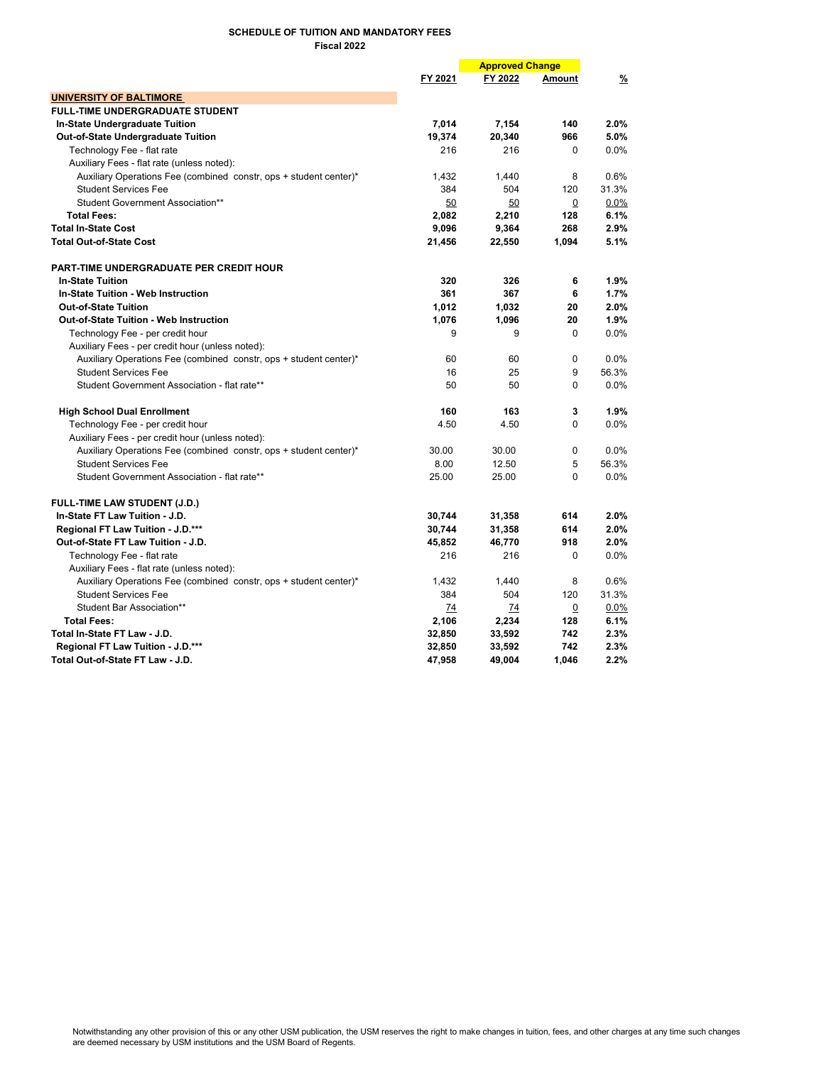## SCHEDULE OF TUITION AND MANDATORY FEES Fiscal 2022

|                                                                   |         | <b>Approved Change</b> |               |          |  |
|-------------------------------------------------------------------|---------|------------------------|---------------|----------|--|
|                                                                   | FY 2021 | FY 2022                | <b>Amount</b> | <u>%</u> |  |
| <b>UNIVERSITY OF BALTIMORE</b>                                    |         |                        |               |          |  |
| <b>FULL-TIME UNDERGRADUATE STUDENT</b>                            |         |                        |               |          |  |
| In-State Undergraduate Tuition                                    | 7,014   | 7,154                  | 140           | 2.0%     |  |
| <b>Out-of-State Undergraduate Tuition</b>                         | 19,374  | 20,340                 | 966           | 5.0%     |  |
| Technology Fee - flat rate                                        | 216     | 216                    | 0             | 0.0%     |  |
| Auxiliary Fees - flat rate (unless noted):                        |         |                        |               |          |  |
| Auxiliary Operations Fee (combined constr, ops + student center)* | 1,432   | 1,440                  | 8             | 0.6%     |  |
| <b>Student Services Fee</b>                                       | 384     | 504                    | 120           | 31.3%    |  |
| Student Government Association**                                  | 50      | 50                     | 0             | 0.0%     |  |
| <b>Total Fees:</b>                                                | 2.082   | 2,210                  | 128           | 6.1%     |  |
| <b>Total In-State Cost</b>                                        | 9,096   | 9,364                  | 268           | 2.9%     |  |
| <b>Total Out-of-State Cost</b>                                    | 21,456  | 22,550                 | 1,094         | 5.1%     |  |
| <b>PART-TIME UNDERGRADUATE PER CREDIT HOUR</b>                    |         |                        |               |          |  |
| <b>In-State Tuition</b>                                           | 320     | 326                    | 6             | 1.9%     |  |
| <b>In-State Tuition - Web Instruction</b>                         | 361     | 367                    | 6             | 1.7%     |  |
| <b>Out-of-State Tuition</b>                                       | 1,012   | 1,032                  | 20            | 2.0%     |  |
| <b>Out-of-State Tuition - Web Instruction</b>                     | 1,076   | 1,096                  | 20            | 1.9%     |  |
| Technology Fee - per credit hour                                  | 9       | 9                      | 0             | 0.0%     |  |
| Auxiliary Fees - per credit hour (unless noted):                  |         |                        |               |          |  |
| Auxiliary Operations Fee (combined constr, ops + student center)* | 60      | 60                     | 0             | 0.0%     |  |
| <b>Student Services Fee</b>                                       | 16      | 25                     | 9             | 56.3%    |  |
| Student Government Association - flat rate**                      | 50      | 50                     | $\mathbf{0}$  | 0.0%     |  |
| <b>High School Dual Enrollment</b>                                | 160     | 163                    | 3             | 1.9%     |  |
| Technology Fee - per credit hour                                  | 4.50    | 4.50                   | 0             | 0.0%     |  |
| Auxiliary Fees - per credit hour (unless noted):                  |         |                        |               |          |  |
| Auxiliary Operations Fee (combined constr, ops + student center)* | 30.00   | 30.00                  | 0             | 0.0%     |  |
| <b>Student Services Fee</b>                                       | 8.00    | 12.50                  | 5             | 56.3%    |  |
| Student Government Association - flat rate**                      | 25.00   | 25.00                  | 0             | 0.0%     |  |
| <b>FULL-TIME LAW STUDENT (J.D.)</b>                               |         |                        |               |          |  |
| In-State FT Law Tuition - J.D.                                    | 30,744  | 31,358                 | 614           | 2.0%     |  |
| Regional FT Law Tuition - J.D.***                                 | 30,744  | 31,358                 | 614           | 2.0%     |  |
| Out-of-State FT Law Tuition - J.D.                                | 45,852  | 46,770                 | 918           | 2.0%     |  |
| Technology Fee - flat rate                                        | 216     | 216                    | $\Omega$      | 0.0%     |  |
| Auxiliary Fees - flat rate (unless noted):                        |         |                        |               |          |  |
| Auxiliary Operations Fee (combined constr, ops + student center)* | 1,432   | 1,440                  | 8             | 0.6%     |  |
| <b>Student Services Fee</b>                                       | 384     | 504                    | 120           | 31.3%    |  |
| Student Bar Association**                                         | 74      | 74                     | 0             | 0.0%     |  |
| <b>Total Fees:</b>                                                | 2,106   | 2,234                  | 128           | 6.1%     |  |
| Total In-State FT Law - J.D.                                      | 32,850  | 33,592                 | 742           | 2.3%     |  |
| Regional FT Law Tuition - J.D.***                                 | 32,850  | 33,592                 | 742           | 2.3%     |  |
| Total Out-of-State FT Law - J.D.                                  | 47,958  | 49,004                 | 1,046         | 2.2%     |  |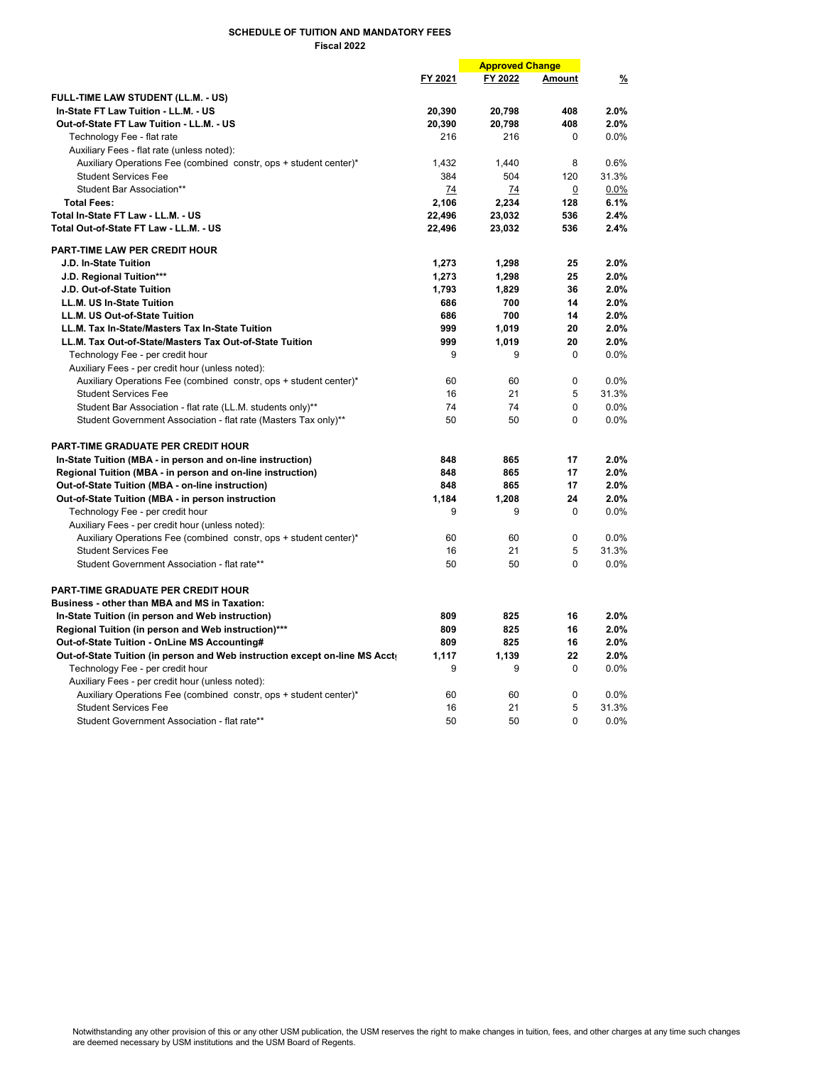## SCHEDULE OF TUITION AND MANDATORY FEES Fiscal 2022

|                                                                            |         | <b>Approved Change</b> |              |               |
|----------------------------------------------------------------------------|---------|------------------------|--------------|---------------|
|                                                                            | FY 2021 | FY 2022                | Amount       | $\frac{9}{6}$ |
| FULL-TIME LAW STUDENT (LL.M. - US)                                         |         |                        |              |               |
| In-State FT Law Tuition - LL.M. - US                                       | 20,390  | 20,798                 | 408          | 2.0%          |
| Out-of-State FT Law Tuition - LL.M. - US                                   | 20,390  | 20,798                 | 408          | 2.0%          |
| Technology Fee - flat rate                                                 | 216     | 216                    | $\Omega$     | 0.0%          |
| Auxiliary Fees - flat rate (unless noted):                                 |         |                        |              |               |
| Auxiliary Operations Fee (combined constr, ops + student center)*          | 1.432   | 1.440                  | 8            | 0.6%          |
| <b>Student Services Fee</b>                                                | 384     | 504                    | 120          | 31.3%         |
| Student Bar Association**                                                  | 74      | 74                     | 0            | 0.0%          |
| <b>Total Fees:</b>                                                         | 2,106   | 2,234                  | 128          | 6.1%          |
| Total In-State FT Law - LL.M. - US                                         | 22,496  | 23,032                 | 536          | 2.4%          |
| Total Out-of-State FT Law - LL.M. - US                                     | 22,496  | 23,032                 | 536          | 2.4%          |
| <b>PART-TIME LAW PER CREDIT HOUR</b>                                       |         |                        |              |               |
| J.D. In-State Tuition                                                      | 1,273   | 1,298                  | 25           | 2.0%          |
| J.D. Regional Tuition***                                                   | 1,273   | 1,298                  | 25           | 2.0%          |
| J.D. Out-of-State Tuition                                                  | 1,793   | 1,829                  | 36           | 2.0%          |
| <b>LL.M. US In-State Tuition</b>                                           | 686     | 700                    | 14           | 2.0%          |
| LL.M. US Out-of-State Tuition                                              | 686     | 700                    | 14           | 2.0%          |
| LL.M. Tax In-State/Masters Tax In-State Tuition                            | 999     | 1,019                  | 20           | 2.0%          |
| LL.M. Tax Out-of-State/Masters Tax Out-of-State Tuition                    | 999     | 1,019                  | 20           | 2.0%          |
| Technology Fee - per credit hour                                           | 9       | 9                      | $\Omega$     | 0.0%          |
| Auxiliary Fees - per credit hour (unless noted):                           |         |                        |              |               |
| Auxiliary Operations Fee (combined constr, ops + student center)*          | 60      | 60                     | $\pmb{0}$    | 0.0%          |
| <b>Student Services Fee</b>                                                | 16      | 21                     | 5            | 31.3%         |
| Student Bar Association - flat rate (LL.M. students only)**                | 74      | 74                     | $\Omega$     | 0.0%          |
| Student Government Association - flat rate (Masters Tax only)**            | 50      | 50                     | $\Omega$     | 0.0%          |
| PART-TIME GRADUATE PER CREDIT HOUR                                         |         |                        |              |               |
| In-State Tuition (MBA - in person and on-line instruction)                 | 848     | 865                    | 17           | 2.0%          |
| Regional Tuition (MBA - in person and on-line instruction)                 | 848     | 865                    | 17           | 2.0%          |
| Out-of-State Tuition (MBA - on-line instruction)                           | 848     | 865                    | 17           | 2.0%          |
| Out-of-State Tuition (MBA - in person instruction                          | 1,184   | 1,208                  | 24           | 2.0%          |
| Technology Fee - per credit hour                                           | 9       | 9                      | $\Omega$     | 0.0%          |
| Auxiliary Fees - per credit hour (unless noted):                           |         |                        |              |               |
| Auxiliary Operations Fee (combined constr, ops + student center)*          | 60      | 60                     | $\mathbf 0$  | 0.0%          |
| <b>Student Services Fee</b>                                                | 16      | 21                     | 5            | 31.3%         |
| Student Government Association - flat rate**                               | 50      | 50                     | $\mathbf{0}$ | 0.0%          |
| <b>PART-TIME GRADUATE PER CREDIT HOUR</b>                                  |         |                        |              |               |
| Business - other than MBA and MS in Taxation:                              |         |                        |              |               |
| In-State Tuition (in person and Web instruction)                           | 809     | 825                    | 16           | 2.0%          |
| Regional Tuition (in person and Web instruction)***                        | 809     | 825                    | 16           | 2.0%          |
| Out-of-State Tuition - OnLine MS Accounting#                               | 809     | 825                    | 16           | 2.0%          |
| Out-of-State Tuition (in person and Web instruction except on-line MS Acct | 1,117   | 1,139                  | 22           | 2.0%          |
| Technology Fee - per credit hour                                           | 9       | 9                      | $\mathbf 0$  | 0.0%          |
| Auxiliary Fees - per credit hour (unless noted):                           |         |                        |              |               |
| Auxiliary Operations Fee (combined constr, ops + student center)*          | 60      | 60                     | 0            | 0.0%          |
| <b>Student Services Fee</b>                                                | 16      | 21                     | 5            | 31.3%         |
| Student Government Association - flat rate**                               | 50      | 50                     | $\Omega$     | 0.0%          |
|                                                                            |         |                        |              |               |